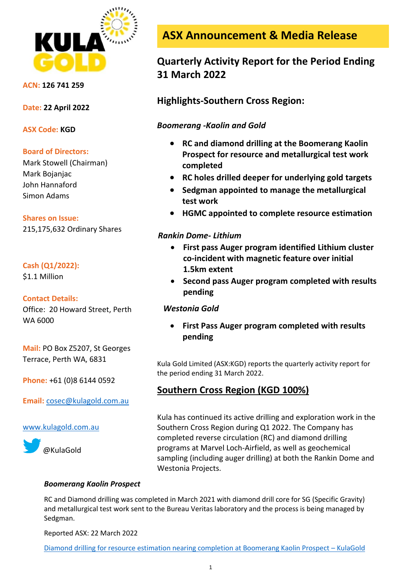

**ACN: 126 741 259**

**Date: 22 April 2022**

**ASX Code: KGD**

## **Board of Directors:**

Mark Stowell (Chairman) Mark Bojanjac John Hannaford Simon Adams

## **Shares on Issue:**

215,175,632 Ordinary Shares

# **Cash (Q1/2022):**

\$1.1 Million

## **Contact Details:**

Office: 20 Howard Street, Perth WA 6000

**Mail:** PO Box Z5207, St Georges Terrace, Perth WA, 6831

**Phone:** +61 (0)8 6144 0592

**Email:** [cosec@kulagold.com.au](mailto:cosec@kulagold.com.au)

## [www.kulagold.com.au](http://www.kulagold.com.au/)



**ASX Announcement & Media Release**

# **Quarterly Activity Report for the Period Ending 31 March 2022**

**Highlights-Southern Cross Region:**

# *Boomerang -Kaolin and Gold*

- **RC and diamond drilling at the Boomerang Kaolin Prospect for resource and metallurgical test work completed**
- **RC holes drilled deeper for underlying gold targets**
- **Sedgman appointed to manage the metallurgical test work**
- **HGMC appointed to complete resource estimation**

# *Rankin Dome- Lithium*

- **First pass Auger program identified Lithium cluster co-incident with magnetic feature over initial 1.5km extent**
- **Second pass Auger program completed with results pending**

# *Westonia Gold*

• **First Pass Auger program completed with results pending**

Kula Gold Limited (ASX:KGD) reports the quarterly activity report for the period ending 31 March 2022.

# **Southern Cross Region (KGD 100%)**

Kula has continued its active drilling and exploration work in the Southern Cross Region during Q1 2022. The Company has completed reverse circulation (RC) and diamond drilling programs at Marvel Loch-Airfield, as well as geochemical sampling (including auger drilling) at both the Rankin Dome and Westonia Projects.

## *Boomerang Kaolin Prospect*

RC and Diamond drilling was completed in March 2021 with diamond drill core for SG (Specific Gravity) and metallurgical test work sent to the Bureau Veritas laboratory and the process is being managed by Sedgman.

Reported ASX: 22 March 2022

[Diamond drilling for resource estimation nearing completion at Boomerang Kaolin Prospect](https://www.kulagold.com.au/2022/03/diamond-drilling-for-resource-estimation-nearing-completion-at-boomerang-kaolin-prospect/) – KulaGold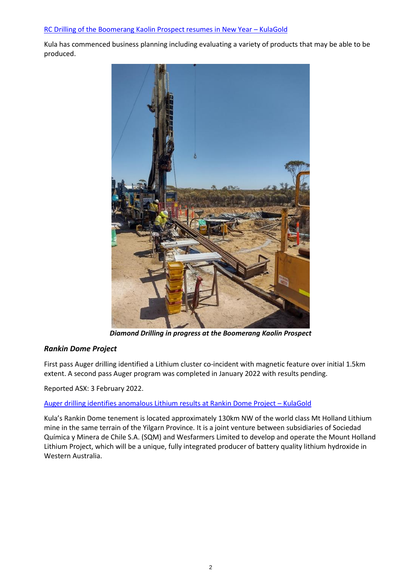#### [RC Drilling of the Boomerang Kaolin Prospect resumes in New Year](https://www.kulagold.com.au/2022/01/rc-drilling-of-the-boomerang-kaolin-prospect-resumes-in-new-year/) – KulaGold

Kula has commenced business planning including evaluating a variety of products that may be able to be produced.



*Diamond Drilling in progress at the Boomerang Kaolin Prospect*

## *Rankin Dome Project*

First pass Auger drilling identified a Lithium cluster co-incident with magnetic feature over initial 1.5km extent. A second pass Auger program was completed in January 2022 with results pending.

Reported ASX: 3 February 2022.

#### [Auger drilling identifies anomalous Lithium results at Rankin Dome Project](https://www.kulagold.com.au/2022/02/auger-drilling-identifies-anomalous-lithium-results-at-rankin-dome-project/) – KulaGold

Kula's Rankin Dome tenement is located approximately 130km NW of the world class Mt Holland Lithium mine in the same terrain of the Yilgarn Province. It is a joint venture between subsidiaries of Sociedad Química y Minera de Chile S.A. (SQM) and Wesfarmers Limited to develop and operate the Mount Holland Lithium Project, which will be a unique, fully integrated producer of battery quality lithium hydroxide in Western Australia.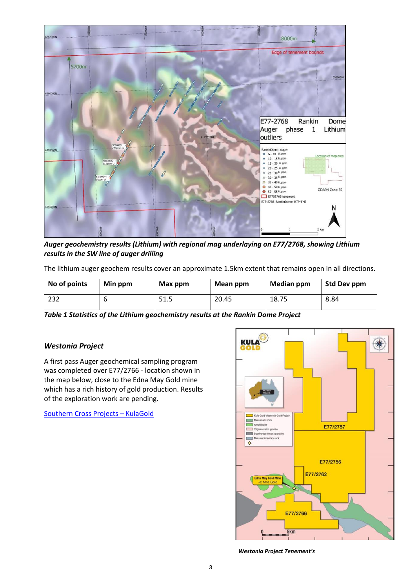

*Auger geochemistry results (Lithium) with regional mag underlaying on E77/2768, showing Lithium results in the SW line of auger drilling*

The lithium auger geochem results cover an approximate 1.5km extent that remains open in all directions.

| No of points | Min ppm | Max ppm | Mean ppm | <b>Median ppm</b> | Std Dev ppm |
|--------------|---------|---------|----------|-------------------|-------------|
| 232          |         | 51.5    | 20.45    | 18.75             | 8.84        |

*Table 1 Statistics of the Lithium geochemistry results at the Rankin Dome Project*

## *Westonia Project*

A first pass Auger geochemical sampling program was completed over E77/2766 - location shown in the map below, close to the Edna May Gold mine which has a rich history of gold production. Results of the exploration work are pending.

[Southern Cross Projects](https://www.kulagold.com.au/projects/southern-cross/) – KulaGold



*Westonia Project Tenement's*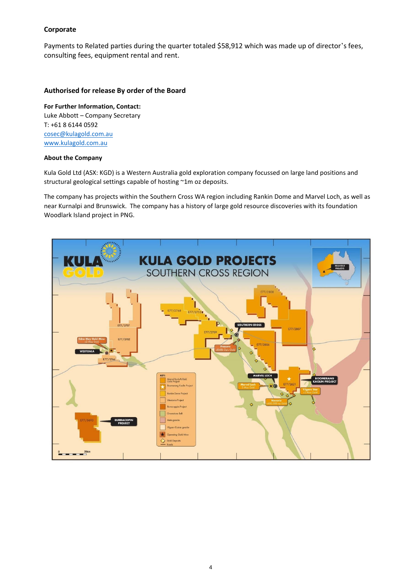#### **Corporate**

Payments to Related parties during the quarter totaled \$58,912 which was made up of director's fees, consulting fees, equipment rental and rent.

#### **Authorised for release By order of the Board**

**For Further Information, Contact:** Luke Abbott – Company Secretary T: +61 8 6144 0592 [cosec@kulagold.com.au](mailto:cosec@kulagold.com.au) [www.kulagold.com.au](http://www.kulagold.com.au/)

#### **About the Company**

Kula Gold Ltd (ASX: KGD) is a Western Australia gold exploration company focussed on large land positions and structural geological settings capable of hosting ~1m oz deposits.

The company has projects within the Southern Cross WA region including Rankin Dome and Marvel Loch, as well as near Kurnalpi and Brunswick. The company has a history of large gold resource discoveries with its foundation Woodlark Island project in PNG.

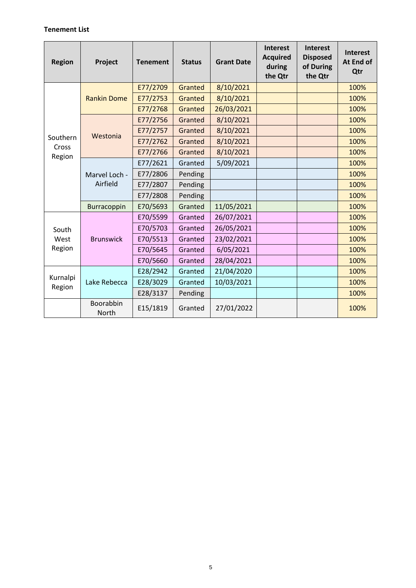## **Tenement List**

| <b>Region</b>     | Project                   | <b>Tenement</b> | <b>Status</b> | <b>Grant Date</b> | Interest<br><b>Acquired</b><br>during<br>the Qtr | <b>Interest</b><br><b>Disposed</b><br>of During<br>the Qtr | <b>Interest</b><br>At End of<br>Qtr |
|-------------------|---------------------------|-----------------|---------------|-------------------|--------------------------------------------------|------------------------------------------------------------|-------------------------------------|
|                   |                           | E77/2709        | Granted       | 8/10/2021         |                                                  |                                                            | 100%                                |
|                   | <b>Rankin Dome</b>        | E77/2753        | Granted       | 8/10/2021         |                                                  |                                                            | 100%                                |
|                   |                           | E77/2768        | Granted       | 26/03/2021        |                                                  |                                                            | 100%                                |
|                   |                           | E77/2756        | Granted       | 8/10/2021         |                                                  |                                                            | 100%                                |
|                   | Westonia                  | E77/2757        | Granted       | 8/10/2021         |                                                  |                                                            | 100%                                |
| Southern<br>Cross |                           | E77/2762        | Granted       | 8/10/2021         |                                                  |                                                            | 100%                                |
| Region            |                           | E77/2766        | Granted       | 8/10/2021         |                                                  |                                                            | 100%                                |
|                   | Marvel Loch -<br>Airfield | E77/2621        | Granted       | 5/09/2021         |                                                  |                                                            | 100%                                |
|                   |                           | E77/2806        | Pending       |                   |                                                  |                                                            | 100%                                |
|                   |                           | E77/2807        | Pending       |                   |                                                  |                                                            | 100%                                |
|                   |                           | E77/2808        | Pending       |                   |                                                  |                                                            | 100%                                |
|                   | Burracoppin               | E70/5693        | Granted       | 11/05/2021        |                                                  |                                                            | 100%                                |
|                   |                           | E70/5599        | Granted       | 26/07/2021        |                                                  |                                                            | 100%                                |
| South             |                           | E70/5703        | Granted       | 26/05/2021        |                                                  |                                                            | 100%                                |
| West              | <b>Brunswick</b>          | E70/5513        | Granted       | 23/02/2021        |                                                  |                                                            | 100%                                |
| Region            |                           | E70/5645        | Granted       | 6/05/2021         |                                                  |                                                            | 100%                                |
|                   |                           | E70/5660        | Granted       | 28/04/2021        |                                                  |                                                            | 100%                                |
|                   |                           | E28/2942        | Granted       | 21/04/2020        |                                                  |                                                            | 100%                                |
| Kurnalpi          | Lake Rebecca              | E28/3029        | Granted       | 10/03/2021        |                                                  |                                                            | 100%                                |
| Region            |                           | E28/3137        | Pending       |                   |                                                  |                                                            | 100%                                |
|                   | Boorabbin<br>North        | E15/1819        | Granted       | 27/01/2022        |                                                  |                                                            | 100%                                |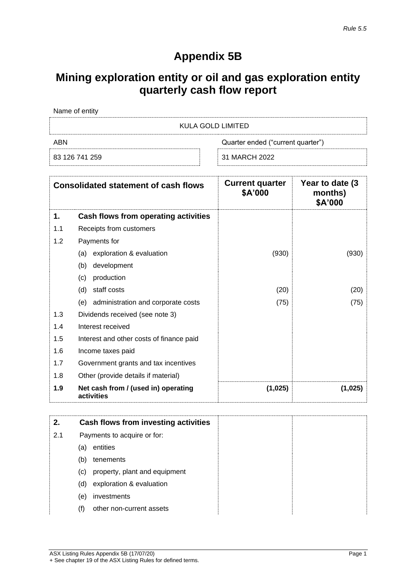# **Appendix 5B**

# **Mining exploration entity or oil and gas exploration entity quarterly cash flow report**

| Name of entity |                                   |
|----------------|-----------------------------------|
|                | KULA GOLD LIMITED                 |
| ARN            | Quarter ended ("current quarter") |
| 83 126 741 259 | 31 MARCH 2022                     |

|     | <b>Consolidated statement of cash flows</b>       | <b>Current quarter</b><br>\$A'000 | Year to date (3)<br>months)<br>\$A'000 |
|-----|---------------------------------------------------|-----------------------------------|----------------------------------------|
| 1.  | Cash flows from operating activities              |                                   |                                        |
| 1.1 | Receipts from customers                           |                                   |                                        |
| 1.2 | Payments for                                      |                                   |                                        |
|     | exploration & evaluation<br>(a)                   | (930)                             | (930)                                  |
|     | (b)<br>development                                |                                   |                                        |
|     | production<br>(c)                                 |                                   |                                        |
|     | staff costs<br>(d)                                | (20)                              | (20)                                   |
|     | (e) administration and corporate costs            | (75)                              | (75)                                   |
| 1.3 | Dividends received (see note 3)                   |                                   |                                        |
| 1.4 | Interest received                                 |                                   |                                        |
| 1.5 | Interest and other costs of finance paid          |                                   |                                        |
| 1.6 | Income taxes paid                                 |                                   |                                        |
| 1.7 | Government grants and tax incentives              |                                   |                                        |
| 1.8 | Other (provide details if material)               |                                   |                                        |
| 1.9 | Net cash from / (used in) operating<br>activities | (1,025)                           | (1,025)                                |

| 2.  |     | Cash flows from investing activities |  |
|-----|-----|--------------------------------------|--|
| 2.1 |     | Payments to acquire or for:          |  |
|     | (a) | entities                             |  |
|     | (b) | tenements                            |  |
|     | (c) | property, plant and equipment        |  |
|     | (d) | exploration & evaluation             |  |
|     | (e) | investments                          |  |
|     | (†) | other non-current assets             |  |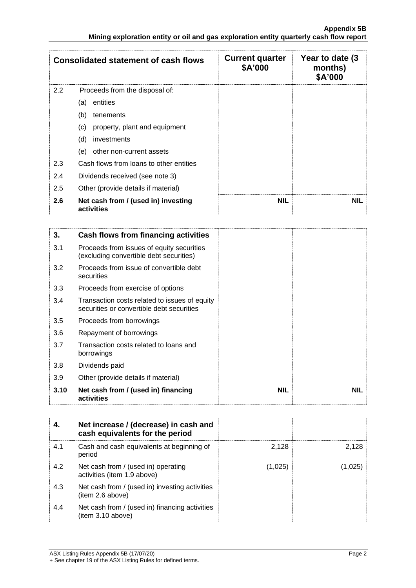|     | <b>Consolidated statement of cash flows</b>       | <b>Current quarter</b><br>\$A'000 | Year to date (3)<br>months)<br>\$A'000 |
|-----|---------------------------------------------------|-----------------------------------|----------------------------------------|
| 2.2 | Proceeds from the disposal of:                    |                                   |                                        |
|     | entities<br>(a)                                   |                                   |                                        |
|     | (b)<br>tenements                                  |                                   |                                        |
|     | property, plant and equipment<br>(c)              |                                   |                                        |
|     | (d)<br>investments                                |                                   |                                        |
|     | (e)<br>other non-current assets                   |                                   |                                        |
| 2.3 | Cash flows from loans to other entities           |                                   |                                        |
| 2.4 | Dividends received (see note 3)                   |                                   |                                        |
| 2.5 | Other (provide details if material)               |                                   |                                        |
| 2.6 | Net cash from / (used in) investing<br>activities | <b>NIL</b>                        | <b>NIL</b>                             |

| 3.   | Cash flows from financing activities                                                       |            |            |
|------|--------------------------------------------------------------------------------------------|------------|------------|
| 3.1  | Proceeds from issues of equity securities<br>(excluding convertible debt securities)       |            |            |
| 3.2  | Proceeds from issue of convertible debt<br>securities                                      |            |            |
| 3.3  | Proceeds from exercise of options                                                          |            |            |
| 3.4  | Transaction costs related to issues of equity<br>securities or convertible debt securities |            |            |
| 3.5  | Proceeds from borrowings                                                                   |            |            |
| 3.6  | Repayment of borrowings                                                                    |            |            |
| 3.7  | Transaction costs related to loans and<br>borrowings                                       |            |            |
| 3.8  | Dividends paid                                                                             |            |            |
| 3.9  | Other (provide details if material)                                                        |            |            |
| 3.10 | Net cash from / (used in) financing<br>activities                                          | <b>NIL</b> | <b>NIL</b> |

|     | Net increase / (decrease) in cash and<br>cash equivalents for the period |         |         |
|-----|--------------------------------------------------------------------------|---------|---------|
| 4.1 | Cash and cash equivalents at beginning of<br>period                      | 2,128   | 2,128   |
| 4.2 | Net cash from / (used in) operating<br>activities (item 1.9 above)       | (1,025) | (1.025) |
| 4.3 | Net cash from / (used in) investing activities<br>(item 2.6 above)       |         |         |
| 4.4 | Net cash from / (used in) financing activities<br>item 3.10 above)       |         |         |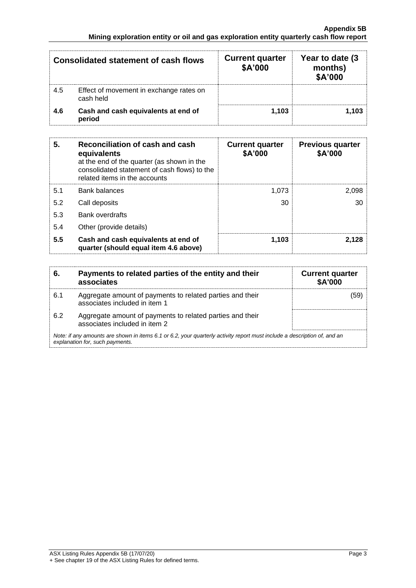| Consolidated statement of cash flows |                                                      | <b>Current quarter</b><br>\$A'000 | Year to date (3)<br>months)<br>\$A'000 |
|--------------------------------------|------------------------------------------------------|-----------------------------------|----------------------------------------|
| 4.5                                  | Effect of movement in exchange rates on<br>cash held |                                   |                                        |
| 4.6                                  | Cash and cash equivalents at end of<br>period        | 1.103                             | 1,103                                  |

| 5.  | Reconciliation of cash and cash<br>equivalents<br>at the end of the quarter (as shown in the<br>consolidated statement of cash flows) to the<br>related items in the accounts | <b>Current quarter</b><br>\$A'000 | <b>Previous quarter</b><br>\$A'000 |
|-----|-------------------------------------------------------------------------------------------------------------------------------------------------------------------------------|-----------------------------------|------------------------------------|
| 5.1 | <b>Bank balances</b>                                                                                                                                                          | 1.073                             | 2,098                              |
| 5.2 | Call deposits                                                                                                                                                                 | 30                                | 30                                 |
| 5.3 | <b>Bank overdrafts</b>                                                                                                                                                        |                                   |                                    |
| 5.4 | Other (provide details)                                                                                                                                                       |                                   |                                    |
| 5.5 | Cash and cash equivalents at end of<br>quarter (should equal item 4.6 above)                                                                                                  | 1,103                             | 2.128                              |

| 6.  | Payments to related parties of the entity and their<br>associates                                                                                           | <b>Current quarter</b><br><b>\$A'000</b> |  |  |  |
|-----|-------------------------------------------------------------------------------------------------------------------------------------------------------------|------------------------------------------|--|--|--|
| 6.1 | Aggregate amount of payments to related parties and their<br>associates included in item 1                                                                  | (59)                                     |  |  |  |
| 6.2 | Aggregate amount of payments to related parties and their<br>associates included in item 2                                                                  |                                          |  |  |  |
|     | Note: if any amounts are shown in items 6.1 or 6.2, your quarterly activity report must include a description of, and an<br>explanation for, such payments. |                                          |  |  |  |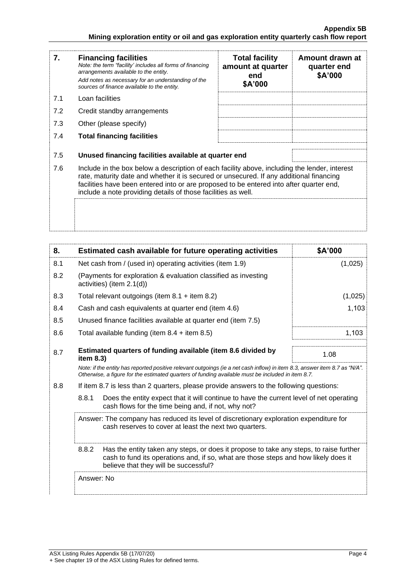| 7.  | <b>Financing facilities</b><br>Note: the term "facility' includes all forms of financing<br>arrangements available to the entity.<br>Add notes as necessary for an understanding of the<br>sources of finance available to the entity.                                                                                                               | <b>Total facility</b><br>amount at quarter<br>end<br>\$A'000 | Amount drawn at<br>quarter end<br>\$A'000 |  |
|-----|------------------------------------------------------------------------------------------------------------------------------------------------------------------------------------------------------------------------------------------------------------------------------------------------------------------------------------------------------|--------------------------------------------------------------|-------------------------------------------|--|
| 7.1 | Loan facilities                                                                                                                                                                                                                                                                                                                                      |                                                              |                                           |  |
| 7.2 | Credit standby arrangements                                                                                                                                                                                                                                                                                                                          |                                                              |                                           |  |
| 7.3 | Other (please specify)                                                                                                                                                                                                                                                                                                                               |                                                              |                                           |  |
| 7.4 | <b>Total financing facilities</b>                                                                                                                                                                                                                                                                                                                    |                                                              |                                           |  |
| 7.5 | Unused financing facilities available at quarter end                                                                                                                                                                                                                                                                                                 |                                                              |                                           |  |
| 7.6 | Include in the box below a description of each facility above, including the lender, interest<br>rate, maturity date and whether it is secured or unsecured. If any additional financing<br>facilities have been entered into or are proposed to be entered into after quarter end,<br>include a note providing details of those facilities as well. |                                                              |                                           |  |
|     |                                                                                                                                                                                                                                                                                                                                                      |                                                              |                                           |  |

| 8.  | Estimated cash available for future operating activities                                                                                                                                                                        |                                                                                                                                                | \$A'000 |
|-----|---------------------------------------------------------------------------------------------------------------------------------------------------------------------------------------------------------------------------------|------------------------------------------------------------------------------------------------------------------------------------------------|---------|
| 8.1 |                                                                                                                                                                                                                                 | Net cash from / (used in) operating activities (item 1.9)<br>(1,025)                                                                           |         |
| 8.2 |                                                                                                                                                                                                                                 | (Payments for exploration & evaluation classified as investing<br>activities) (item 2.1(d))                                                    |         |
| 8.3 | Total relevant outgoings (item $8.1 +$ item $8.2$ )                                                                                                                                                                             |                                                                                                                                                | (1,025) |
| 8.4 | Cash and cash equivalents at quarter end (item 4.6)                                                                                                                                                                             |                                                                                                                                                | 1,103   |
| 8.5 | Unused finance facilities available at quarter end (item 7.5)                                                                                                                                                                   |                                                                                                                                                |         |
| 8.6 | 1,103<br>Total available funding (item $8.4 +$ item $8.5$ )                                                                                                                                                                     |                                                                                                                                                |         |
| 8.7 | Estimated quarters of funding available (item 8.6 divided by<br>item 8.3)                                                                                                                                                       |                                                                                                                                                | 1.08    |
|     | Note: if the entity has reported positive relevant outgoings (ie a net cash inflow) in item 8.3, answer item 8.7 as "N/A".<br>Otherwise, a figure for the estimated quarters of funding available must be included in item 8.7. |                                                                                                                                                |         |
| 8.8 | If item 8.7 is less than 2 quarters, please provide answers to the following questions:                                                                                                                                         |                                                                                                                                                |         |
|     | 8.8.1                                                                                                                                                                                                                           | Does the entity expect that it will continue to have the current level of net operating<br>cash flows for the time being and, if not, why not? |         |
|     | Answer: The company has reduced its level of discretionary exploration expenditure for<br>cash reserves to cover at least the next two quarters.                                                                                |                                                                                                                                                |         |
|     | 8.8.2<br>Has the entity taken any steps, or does it propose to take any steps, to raise further<br>cash to fund its operations and, if so, what are those steps and how likely does it<br>believe that they will be successful? |                                                                                                                                                |         |
|     | Answer: No                                                                                                                                                                                                                      |                                                                                                                                                |         |
|     |                                                                                                                                                                                                                                 |                                                                                                                                                |         |